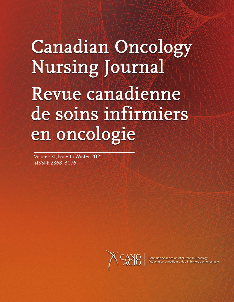# Canadian Oncology Nursing Journal Revue canadienne de soins infirmiers en oncologie

Volume 31, Issue 1 • Winter 2021 eISSN: 2368-8076



Canadian Association of Nurses in Oncology Association canadienne des infirmières en oncologie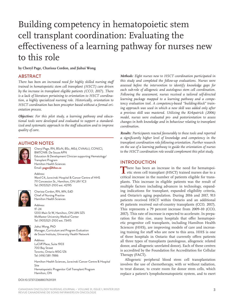# Building competency in hematopoietic stem cell transplant coordination: Evaluating the effectiveness of a learning pathway for nurses new to this role

**by Cheryl Page, Charissa Cordon, and Jiahui Wong**

# **ABSTRACT**

*There has been an increased need for highly skilled nursing staff trained in hematopoietic stem cell transplant (HSCT) care driven by the increase in transplant eligible patients (CCO, 2017). There is a lack of literature pertaining to orientation to HSCT coordination, a highly specialized nursing role. Historically, orientation to HSCT coordination has been preceptor based without a formal orientation process.* 

*Objectives: For this pilot study, a learning pathway and educational tools were developed and evaluated to support a standardized and systematic approach to the staff education and to improve quality of care.*

# AUTHOR NOTES



Cheryl Page, RN, BScN, BSc, MEd, CVAA(c), CON(C), BMTCN®. De Souza APN Education & Development Clinician supporting Hematology/ Transplant Program Hamilton Health Sciences Email: **pagec@hhsc.ca**

#### Address:

Ward C4, Juravinski Hospital & Cancer Centre of HHS 711 Concession St., Hamilton, ON L8V 1C3 Tel: (905)521-2100 ext. 42195



Charissa Cordon, RN, MN, EdD Chief of Nursing Practise Hamilton Health Sciences

Address: 1F-24 1200 Main St W, Hamilton, ON L8N 3Z5 McMaster University Medical Center Tel: (905)521-2100 ext. 73415



Jiahui Wong, PhD Manager, Curriculum and Program Evaluation de Souza Institute, University Health Network

Address: LuCliff Place, Suite 1903 700 Bay Street Toronto, Ontario M5G 1Z6 Tel: (416) 581-7886

Hamilton Health Sciences, Juravinski Cancer Centre & Hospital Site Hematopoietic Progenitor Cell Transplant Program Hamilton, ON

DOI:10.5737/23688076311311

*Methods: Eight nurses new to HSCT coordination participated in this study and completed the follow-up evaluations. Nurses were assessed before the intervention to identify knowledge gaps for each sub-role of allogeneic and autologous stem cell coordination. Following the assessment, nurses received a tailored self-directed learning package mapped to a learning pathway and a competency evaluation tool. A competency-based "building-block" training approach was used in which a new skill was added only after a previous skill was mastered. Utilizing the Kirkpatrick (2006) model, nurses were evaluated pre- and postorientation to assess changes in both knowledge and in behaviour relating to transplant coordination.*

*Results: Participants reacted favourably to these tools and reported a significantly higher level of knowledge and competency in the transplant coordination role following orientation. Further research on the use of a learning pathway to guide the orientation of nurses to the HSCT coordination role would complement this pilot study.*

# INTRODUCTION

There has been an increase in the need for hematopoi-<br>etic stem cell transplant (HSCT) trained nurses due to a critical increase in the number of patients eligible for transplants. This increase in eligible patients was the result of multiple factors including advances in technology, expanding indications for transplant, expanded eligibility criteria, and Ontario's aging population. During 2016 and 2017, 913 patients received HSCT within Ontario and an additional 45 patients received out-of-country transplants (CCO, 2017). This represents a 79 percent increase from 2009–10 (CCO, 2017). This rate of increase is expected to accelerate. In preparation for this rise, many hospitals that offer hematopoietic progenitor cell transplants, including Hamilton Health Sciences (HHS), are improving models of care and increasing training for staff who are new to this area. HHS is one of three hospitals in Ontario that currently offers patients all three types of transplants (autologous, allogeneic related donor, and allogeneic unrelated donor). Each of these centres is accredited by the Foundation for Accreditation for Cellular Therapy (FACT).

Allogeneic peripheral blood stem cell transplantation involves the use of chemotherapy, with or without radiation, to treat disease, to create room for donor stem cells, which replace a patient's lymphohematopoietic system, and to exert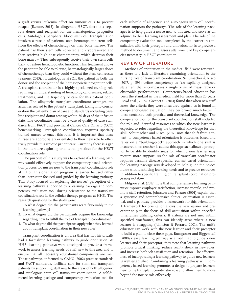a graft versus leukemia effect on tumour cells to prevent relapse (Ezzone, 2013). In allogeneic HSCT, there is a separate donor and recipient for the hematopoietic progenitor cells. Autologous peripheral blood stem cell transplantation involves a rescue of patients' own hematopoietic stem cells from the effects of chemotherapy on their bone marrow. The patient has their stem cells collected and cryopreserved and then receives high-dose chemotherapy, which destroys their bone marrow. They subsequently receive their own stem cells back to restore hematopoietic function. This treatment allows the patient to be able to tolerate, haematologically, larger doses of chemotherapy than they could without the stem cell rescue (Ezzone, 2013). In autologous HSCT, the patient is both the donor and the recipient of the hematopoietic progenitor cells. A transplant coordinator is a highly specialized nursing role requiring an understanding of hematological diseases, related treatments, and the trajectory of care for this patient population. The allogeneic transplant coordinator arranges the activities related to the patient's transplant, taking into consideration the patient's plan of care and standards including baseline recipient and donor testing within 30 days of the infusion date. The coordinator must be aware of quality of care standards from FACT and provincial Cancer Care Ontario (CCO) benchmarking. Transplant coordination requires specialty trained nurses to enact this role. It is important that these nurses are appropriately orientated to their new role to effectively provide this unique patient care. Currently there is a gap in the literature exploring orientation practices for the HSCT coordination role.

The purpose of this study was to explore if a learning pathway would effectively support the competency-based orientation process for nurses new to the transplant coordination role at HHS. This orientation program is learner focused rather than instructor focused and guided by the learning pathway. This study focused on exploring the nurses' perception of a learning pathway, supported by a learning package and competency evaluation tool, during orientation to the transplant coordination role in the cellular therapy program at HHS. The research questions for the study were:

- 1. To what degree did the participants react favourably to the learning pathway?
- 2. To what degree did the participants acquire the knowledge regarding how to fulfill the role of transplant coordinator?
- 3. To what degree did the participants apply what they learned about transplant coordination in their new role?

Transplant coordination is an area that has not historically had a formalized learning pathway to guide orientation. At HHS, learning pathways were developed to provide a framework to assess learning needs of staff new to this area and to ensure that all necessary educational components are met. These pathways, informed by CANO (2002) practise standards and FACT standards, facilitate care for stem cell transplant patients by supporting staff new to the areas of both allogeneic and autologous stem cell transplant coordination. A self-directed learning package and competency evaluation tool for each sub-role of allogeneic and autologous stem cell coordination supports the pathways. The role of the learning packages is to help guide a nurse new to this area and serve as an adjunct to their learning assessment and plan. The role of the competency evaluation tool, completed by the learner in consultation with their preceptor and unit educator, is to provide a method to document and assess attainment of key competencies necessary in HSCT coordination.

# REVIEW OF LITERATURE

Methods of orientation in the medical field were reviewed, as there is a lack of literature examining orientation to the nursing role of transplant coordination. Schumacher & Risco (2017, p. 596) define competency as "an explicitly designed statement that encompasses a single or set of measurable or observable performances." Competency-based education has been the standard in the medical field for more than 20 years (Boyd et al., 2018). Greet et al. (2014) found that when new staff knew the criteria they were measured against, as is found in competency-based evaluation, they performed much better if these contained both practical and theoretical knowledge. The competency tool for the transplant coordination staff included the role and identified resources to which the new learner is expected to refer regarding the theoretical knowledge for that skill. Schumacher and Risco, (2017) note that shift from content- to competency-based orientation is outcomes based and relies on a "building-block" approach in which one skill is mastered then another is added; this approach allows a preceptor to be able to identify areas for which a new learner may require more support. As the role of transplant coordinator requires baseline disease-specific, content-based orientation, the learning package was developed to help guide the novice nurse with identifying learning needs and to provide resources in addition to specific training on transplant coordination processes and flow.

Milgore et al. (2017) note that comprehensive learning pathways improve employee satisfaction, increase morale, and promote staff retention. Johnston and Ferraro (2001) explain that a systemic and comprehensive clinical orientation is essential, and a pathway provides a framework for this orientation. A framework for orientation allows the new learner and preceptor to plan the focus of skill acquisition within specified timeframes utilizing criteria. If criteria are not met within specified timeframes, this can identify areas where a new learner is struggling (Johnston & Ferraro, 2001). The unit's educator can work with the new learner and their preceptor to build a plan to close these gaps. Bumgarner and Biggerstaff (2000) view a learning pathway as a road map to guide a new learner and their preceptor; they note that learning pathways promote critical thinking, reduce reality shock in new roles, and increase both job satisfaction and retention. The effectiveness of incorporating a learning pathway to guide new learners is well established. Combining a learning pathway with competency-based learning promotes a design to prepare learners new to the transplant coordinator role and allow them to move beyond the novice role effectively.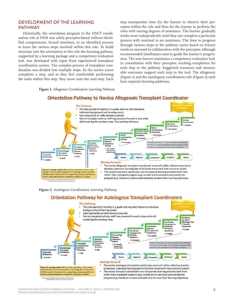# DEVELOPMENT OF THE LEARNING PATHWAY

Historically, the orientation program to the HSCT coordination role at HHS was solely preceptor-based without identified competencies, formal timelines, or an identified process to learn the various steps involved within this role. To build structure into the orientation to this role the learning pathway, supported by a learning package and a competency evaluation tool, was developed with input from experienced transplant coordination nurses. The complex process of transplant coordination was divided into multiple steps. As the novice nurse completes a step, and as they feel comfortable performing the tasks within this step, they move onto the next step. Each

**Figure 1.** *Allogeneic Coordination Learning Pathway*

step incorporates time for the learner to observe their preceptor within the role and then for the learner to perform the roles with varying degrees of assistance. The learner gradually works more independently until they can complete a particular process with minimal to no assistance. The time to progress through various steps in the pathway varies based on learner needs as assessed in collaboration with the preceptor, although recommended timeframes exist to guide the learner's progression. The new learner maintains a competency evaluation tool, in consultation with their preceptor, tracking completion for each step in the pathway. Suggested resources and measurable outcomes support each step in the tool. The allogeneic (Figure 1) and the autologous coordination role (Figure 2) each have separate learning pathways.

# **Orientation Pathway to Novice Allogeneic Transplant Coordinator**







# **Orientation Pathway for Autologous Transplant Coordinators**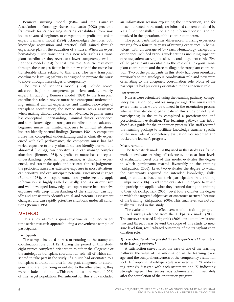Benner's nursing model (1984) and the Canadian Association of Oncology Nurses standards (2002) provide a framework for categorizing nursing capabilities from novice, to advanced beginner, to competent, to proficient, and to expert. Benner's model (1984) acknowledges the roles both knowledge acquisition and practical skill gained through experience play in the education of a nurse. When an expert hematology nurse transitions to a new role such as a transplant coordinator, they revert to a lower competency level on Benner's model (1984) for that new role. A nurse may move through these stages faster in this new role if the nurse has transferable skills related to this area. The new transplant coordinator learning pathway is designed to prepare the nurse to move through these stages of competency.

The levels of Benner's model (1984) include novice, advanced beginner, competent, proficient and, ultimately, expert. In adapting Benner's model (1984) to the transplant coordination role, a novice nurse has conceptual understanding, minimal clinical experience, and limited knowledge of transplant coordination; the novice nurse seeks assistance when making clinical decisions. An advanced beginner nurse has conceptual understanding, minimal clinical experience, and some knowledge of transplant coordination; the advanced beginner nurse has limited exposure to clinical situations, but can identify normal findings (Benner, 1984). A competent nurse has conceptual understanding and is clinically experienced with skill performance; the competent nurse has had varied exposure to many situations, can identify normal and abnormal findings, can prioritize, and can manage complex situations (Benner, 1984). A proficient nurse has conceptual understanding, proficient performance, is clinically experienced, and can make quick and accurate clinical judgments; the proficient nurse has extensive exposure in most situations, can prioritize and can anticipate potential assessment changes (Benner, 1984). An expert nurse can synthesize and apply information, is highly skilled clinically, and has an extensive and well-developed knowledge; an expert nurse has extensive exposure with deep understanding of the situation, can rapidly and consistently identify actual and potential assessment changes, and can rapidly prioritize situations under all conditions (Benner, 1984).

# **METHOD**

This study utilized a quasi-experimental non-equivalent time-series research approach using a convenience sample of participants.

#### **Participants**

The sample included nurses orientating to the transplant coordination role at HHS. During the period of this study, eight nurses completed orientation to either the allogeneic or the autologous transplant coordination role, all of which consented to take part in the study. If a nurse had orientated to a transplant coordination area in the past, allogeneic or autologous, and are now being orientated to the other stream, they were included in the study. This constitutes enrolment of 100% of this target population. Recruitment for this study included an information session explaining the intervention, and for those interested in the study, an informed consent obtained by a staff member skilled in obtaining informed consent and not involved in the operations of the coordination team.

The participants had a vast difference in nursing experience ranging from four to 30 years of nursing experience in hematology, with an average of 14 years. Hematology background experience included various work settings including inpatient care, outpatient care, apheresis unit, and outpatient clinic. Five of the participants orientated to the role of autologous transplant coordination and three to allogeneic transplant coordination. Two of the participants in this study had been orientated previously to the autologous coordination role and now were orientating to the allogeneic coordination role. None of the participants had previously orientated to the allogeneic role.

#### **Intervention**

Nurses were orientated using the learning pathway, competency evaluation tool, and learning package. The nurses were aware these tools would be utilized in the orientation process whether they decide to participate in this study or not. Staff participating in the study completed a preorientation and postorientation evaluation. The learning pathway was introduced as a guide for the orientation process. The staff received the learning package to facilitate knowledge transfer specific to the new role. A competency evaluation tool recorded and tracked the learner's progress.

#### **Measurements**

The Kirkpatrick model (2006) used in this study as a framework to evaluate training effectiveness, looks at four levels of evaluation. Level one of this model evaluates the degree to which participants reacted favourably to the training (Kirkpatrick, 2006). Level two evaluates the degree to which the participants acquired the intended knowledge, skills, and/or attitudes based on their participation in a training (Kirkpatrick, 2006). Level three evaluates the degree to which the participants applied what they learned during the training to their job (Kirkpatrick, 2006). Level four evaluates the degree to which the targeted objectives or outcomes occurred because of the training (Kirkpatrick, 2006). This final level was not formally evaluated in this study.

The evaluation on the effectiveness of the training program utilized surveys adapted from the Kirkpatrick model (2006). The surveys assessed Kirkpatrick (2006) evaluation levels one, two and three. It was beyond the scope of this study to measure level four, results-based outcomes, of the transplant coordination role.

#### *1) Level One: To what degree did the participants react favourably to the learning pathway?*

A satisfaction survey rated the ease of use of the learning pathway, the value of the information in the learning package, and the comprehensiveness of the competency evaluation tool. A five-point Likert-type scale was used with '0' indicating strongly disagree with each statement and '5' indicating strongly agree. This survey was administered immediately after the completion of the orientation program.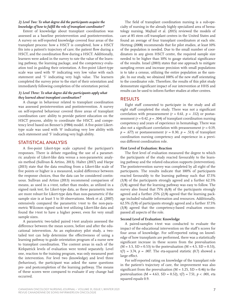#### *2) Level Two: To what degree did the participants acquire the knowledge of how to fulfill the role of transplant coordinator?*

Extent of knowledge about transplant coordination was assessed as a baseline preintervention and postintervention. A survey on self-reported knowledge covered four areas of the transplant process: how a HSCT is completed, how a HSCT fits into a patient's trajectory of care; the patient flow during a HSCT, and the coordination flow during a HSCT. Additionally, learners were asked in the survey to rate the value of the learning pathway, the learning package, and the competency evaluation tool in guiding their orientation. A five-point Likert-type scale was used with '0' indicating very low value with each statement and '5' indicating very high value. The learners completed the survey prior to the start of their orientation and immediately following completion of the orientation period.

#### *3) Level Three: To what degree did the participants apply what they learned about transplant coordination?*

A change in behaviour related to transplant coordination was assessed preintervention and postintervention. A survey on self-reported behaviour covered three areas of transplant coordination care: ability to provide patient education on the HSCT process, ability to coordinate the HSCT, and competency level based on Benner's (1984) model. A five-point Likerttype scale was used with '0' indicating very low ability with each statement and '5' indicating very high ability.

# STATISTICAL ANALYSIS

A five-point Likert-type scale captured the participant's responses. There is debate regarding the use of a parametric analysis of Likert-like data versus a non-parametric analysis method (Sullivan & Artino, 2013). Halter (2017) and Harpe (2015) state that the data resulting from a Likert-like scale of five points or higher is a measured, scaled difference between the response choices, thus the data can be considered continuous. Sullivan and Artino (2013) recommend comparison of means, as used in a *t*-test, rather than modes, as utilized in a signed rank test, for Likert-type data, as these parametric tests are more robust for Likert-type data than non-parametric if the sample size is at least 5 to 10 observations. Meek et al. (2007) extensively compared the parametric t-test to the non-parametric Wilcoxon signed rank test utilizing Likert-like data and found the *t*-test to have a higher power, even for very small sample sizes.

A parametric two-tailed paired t-test analysis assessed the difference between the mean scores, before and after the educational intervention. As an exploratory pilot study, a twotailed test can help determine the effectiveness of using a learning pathway to guide orientation program of a nurse new to transplant coordination. The content areas in each of the Kirkpatrick levels of evaluation were tested separately. Level one, reaction to the training program, was only measured post the intervention. For level two (knowledge) and level three (behaviour), the participant was asked the same questions pre- and postcompletion of the learning pathway. The means of these scores were compared to evaluate if any change had occurred.

The field of transplant coordination nursing is a sub-specialty of nursing in the already highly specialized area of hematology nursing. Majhail et al. (2015) reviewed the models of care at 85 stem cell transplant centres in the United States and found an average of four transplant coordinators at each site. Hertzog (2008) recommends that for pilot studies, at least 10% of the population is needed. Due to the small number of coordinators in any given HSCT centre, the required sample size needed to be higher than 10% to gauge statistical significance of the results. Israel (2003) states that one approach to mitigate sampling errors and increase precision with small populations is to take a census, utilizing the entire population as the sample. In our study, we obtained 100% of the new staff orientating to the coordinator role. Therefore, the results of this pilot study demonstrate significant impact of our intervention at HHS and results can be used to inform further studies at other centres.

# RESULTS

Eight staff consented to participate in the study and all eight staff completed the study. There was not a significant correlation with preassessment  $(r = 0.61, p = .112)$  or postassessment  $(r = 0.42, p = .304)$  of transplant coordination nursing competency and years of experience in hematology. There was also not a significant correlation with preassessment (*r* = 0.19, *p* = .677) or postassessment (*r* = 0.30, *p* = .513) of transplant coordination nursing competency and experience in a previous different coordination role.

# **First Level of Evaluation: Reaction**

The first level of evaluation measured the degree to which the participants of the study reacted favourably to the learning pathway and the related education supports (intervention). The postintervention survey was completed by all eight of the participants. The results indicate that 100% of participants reacted favourably to the learning pathway such that 37.5% (3/8) of the participants strongly agreed and a further 62.5% (5/8) agreed that the learning pathway was easy to follow. The survey also found that 75% (6/8) of the participants strongly agreed and a further 25% (2/8) agreed that the learning package included valuable information and resources. Additionally, 62.5% (5/8) of participants strongly agreed and a further 37.5% (3/8) agreed that the competency-based evaluation encompassed all aspects of the role.

#### **Second Level of Evaluation: Knowledge**

A paired-samples *t*-test was conducted to evaluate the impact of the educational intervention on the staff's scores for four areas of knowledge. For self-reported rating on knowledge of how transplants are performed, there was a statistically significant increase in these scores from the preevaluation  $(M = 3.5, SD = 0.53)$  to the postevaluation  $(M = 4.5, SD = 0.53)$ ,  $t(7) = 3.74$ ,  $p = .007$ . The eta-squared statistic  $(0.7)$  showed a large effect.

For self-reported rating on knowledge of the transplant role in the patient's trajectory of care, the improvement was also significant from the preevaluation ( $M = 3.25$ ,  $SD = 0.46$ ) to the postevaluation (M = 4.63, SD = 0.52), t(7) = 7.51, *p* < .001, eta squared equals 0.9.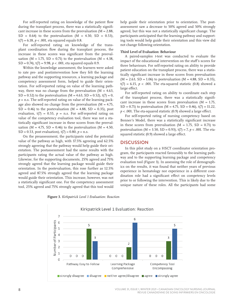For self-reported rating on knowledge of the patient flow during the transplant process, there was a statistically significant increase in these scores from the preevaluation  $(M = 2.88$ ,  $SD = 0.64$ ) to the postevaluation (M = 4.50, SD = 0.53),  $t(7) = 6.18$ ,  $p < .001$ , eta squared equals 0.8.

For self-reported rating on knowledge of the transplant coordination flow during the transplant process, the increase in these scores was significant from the preevaluation ( $M = 1.75$ ,  $SD = 0.71$ ) to the postevaluation ( $M = 4.38$ , SD = 0.74), t(7) = 9.98, *p* < .001, eta squared equals 0.9.

Within the knowledge assessment, the learners were asked to rate pre- and postintervention how they felt the learning pathway and the supporting resources, a learning package and competency assessment form, helped to guide their orientation. For self-reported rating on value of the learning pathway, there was no change from the preevaluation  $(M = 4.63)$ , SD = 0.52) to the postevaluation ( $M = 4.63$ , SD = 0.52), t(7) = 0,  $p = n.s.$  The self-reported rating on value of the learning package also showed no change from the preevaluation  $(M = 4.75)$ ,  $SD = 0.46$ ) to the postevaluation (M = 4.88, SD = 0.35), post evaluation,  $t(7) = 0.55$ ,  $p = n.s$ . For self-reported rating on value of the competency evaluation tool, there was not a statistically significant increase in these scores from the preevaluation ( $M = 4.75$ ,  $SD = 0.46$ ) to the postevaluation ( $M = 4.50$ ,  $SD = 0.53$ , post evaluation),  $t(7) = 0.80$ ,  $p = n.s$ .

On the preassessment, the participants rated the potential value of the pathway as high, with 37.5% agreeing and 62.5% strongly agreeing that the pathway would help guide their orientation. The postassessment had the same results with the participants rating the actual value of the pathway as high. Likewise, for the supporting documents, 25% agreed and 75% strongly agreed that the learning package would guide their orientation. In the postevaluation, this rose further as 12.5% agreed and 87.5% strongly agreed that the learning package would guide their orientation. This increase, however, was not a statistically significant one. For the competency assessment tool, 25% agreed and 75% strongly agreed that this tool would help guide their orientation prior to orientation. The postassessment saw a decrease to 50% agreed and 50% strongly agreed, but this was not a statistically significant change. The participants anticipated that the learning pathway and supporting tools would help guide their orientation and this view did not change following orientation.

#### **Third Level of Evaluation: Behaviour**

A paired-samples *t*-test was conducted to evaluate the impact of the educational intervention on the staff's scores for three behaviours. For self-reported rating on ability to provide patient education on the transplant process, there was a statistically significant increase in these scores from preevaluation  $(M = 2.63, SD = 1.06)$  to postevaluation  $(M = 4.88, SD = 0.35)$ ,  $t(7) = 6.15$ ,  $p < .001$ . The eta-squared statistic  $(0.8)$  showed a large effect.

For self-reported rating on ability to coordinate each step of the transplant process, there was a statistically significant increase in these scores from preevaluation  $(M = 1.75)$ , SD = 0.71) to postevaluation ( $M = 4.75$ , SD = 0.46), t(7) = 11.22, *p* < .001. The eta-squared statistic (0.9) showed a large effect.

For self-reported rating of nursing competency based on Benner's Model, there was a statistically significant increase in these scores from preevaluation ( $M = 1.75$ ,  $SD = 0.71$ ) to postevaluation (M = 3.50, SD = 0.93), t(7) = 7, *p* < .001. The etasquared statistic (0.9) showed a large effect.

# **DISCUSSION**

In this pilot study on a HSCT coordinator orientation program, the participants reacted favourably to the learning pathway and to the supporting learning package and competency evaluation tool (Figure 3). In assessing the role of demographics on the results, it was found that neither years of previous experience in hematology nor experience in a different coordination role had a significant effect on competency levels prior to or following the intervention. This is likely due to the unique nature of these roles. All the participants had some



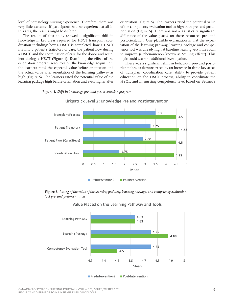level of hematology nursing experience. Therefore, there was very little variance. If participants had no experience at all in this area, the results might be different.

The results of this study showed a significant shift in knowledge in key areas required for HSCT transplant coordination including: how a HSCT is completed, how a HSCT fits into a patient's trajectory of care, the patient flow during a HSCT, and the coordination of care for the donor and recipient during a HSCT (Figure 4). Examining the effect of the orientation program resources on the knowledge acquisition, the learners rated the expected value before orientation and the actual value after orientation of the learning pathway as high (Figure 5). The learners rated the potential value of the learning package high before orientation and even higher after orientation (Figure 5). The learners rated the potential value of the competency evaluation tool as high both pre- and postorientation (Figure 5). There was not a statistically significant difference of the value placed on these resources pre- and postorientation. One plausible explanation is that the expectation of the learning pathway, learning package and competency tool was already high at baseline, leaving very little room to improve (a phenomenon known as "ceiling effect"). This topic could warrant additional investigation.

There was a significant shift in behaviour pre- and postorientation, as demonstrated by an increase in three key areas of transplant coordination care: ability to provide patient education on the HSCT process, ability to coordinate the HSCT, and in nursing competency level based on Benner's





Kirkpatrick Level 2: Knowledge Pre and Postintervention

**Figure 5.** *Rating of the value of the learning pathway, learning package, and competency evaluation tool pre- and postorientation*



# Value Placed on the Learning Pathway and Tools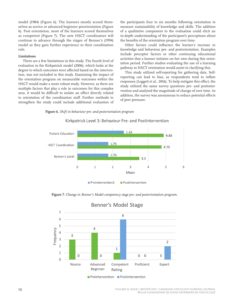model (1984) (Figure 6). The learners mostly scored themselves as novice or advanced beginner preorientation (Figure 6). Post orientation, most of the learners scored themselves as competent (Figure 7). The new HSCT coordinators will continue to advance through the stages of Benner's (1994) model as they gain further experience in their coordination role.

#### **Limitations**

There are a few limitations in this study. The fourth level of evaluation in the Kirkpatrick model (2006), which looks at the degree to which outcomes were affected based on the intervention, was not included in this study. Examining the impact of the orientation program on measurable outcomes within the HSCT would make a more robust study. However, as there are multiple factors that play a role in outcomes for this complex area, it would be difficult to isolate an effect directly related to orientation of the coordination staff. Further methods to strengthen the study could include additional evaluation of the participants four to six months following orientation to measure sustainability of knowledge and skills. The addition of a qualitative component to the evaluation could elicit an in-depth understanding of the participant's perceptions about the benefits of the orientation program over time.

Other factors could influence the learner's increase in knowledge and behaviour pre- and postorientation. Examples include preceptor factors or other continuing educational activities that a learner initiates on her own during this orientation period. Further studies evaluating the use of a learning pathway in HSCT orientation would assist in clarifying this.

This study utilized self-reporting for gathering data. Selfreporting can lead to bias, as respondents tend to inflate responses (Leggett et al., 2016). To help mitigate this effect, the study utilized the same survey questions pre- and postintervention and analysed the magnitude of change of over time. In addition, the survey was anonymous to reduce potential effects of peer pressure.

#### **Figure 6.** *Shift in behaviour pre- and postorientation program*



# Kirkpatrick Level 3: Behaviour Pre- and Postintervention

**Figure 7.** *Change in Benner's Model competency stage pre- and postorientation program.*



# **Benner's Model Stage**